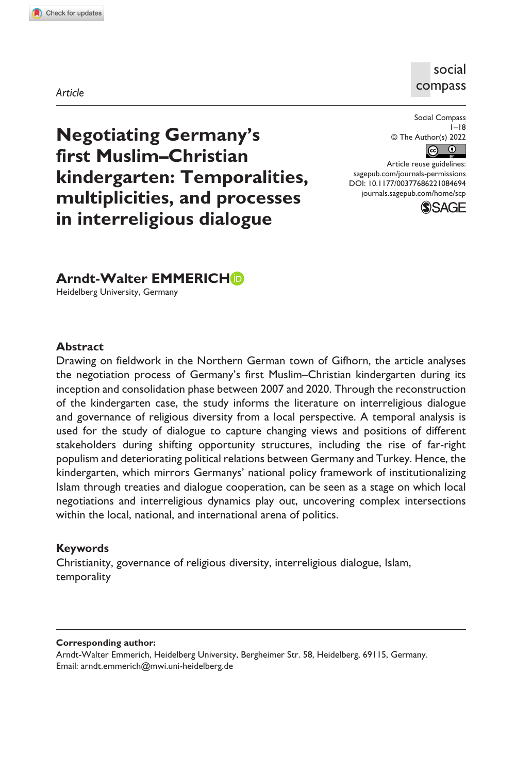**1084[694](http://crossmark.crossref.org/dialog/?doi=10.1177%2F00377686221084694&domain=pdf&date_stamp=2022-03-28)**SCP0010.1177/00377686221084694Social Compass**Emmerich: Short Title**

# social compass

*Article*

Social Compass  $1 - 18$ © The Author(s) 2022  $\boxed{6}$ 

DOI: 10.1177/00377686221084694 Article reuse guidelines: [sagepub.com/journals-permissions](https://uk.sagepub.com/en-gb/journals-permissions)

> [journals.sagepub.com/home/scp](https://journals.sagepub.com/home/scp) **SSAGE**

**Negotiating Germany's first Muslim–Christian kindergarten: Temporalities, multiplicities, and processes in interreligious dialogue**

# **Arndt-Walter EMMERICHD**

Heidelberg University, Germany

#### **Abstract**

Drawing on fieldwork in the Northern German town of Gifhorn, the article analyses the negotiation process of Germany's first Muslim–Christian kindergarten during its inception and consolidation phase between 2007 and 2020. Through the reconstruction of the kindergarten case, the study informs the literature on interreligious dialogue and governance of religious diversity from a local perspective. A temporal analysis is used for the study of dialogue to capture changing views and positions of different stakeholders during shifting opportunity structures, including the rise of far-right populism and deteriorating political relations between Germany and Turkey. Hence, the kindergarten, which mirrors Germanys' national policy framework of institutionalizing Islam through treaties and dialogue cooperation, can be seen as a stage on which local negotiations and interreligious dynamics play out, uncovering complex intersections within the local, national, and international arena of politics.

#### **Keywords**

Christianity, governance of religious diversity, interreligious dialogue, Islam, temporality

**Corresponding author:**

Arndt-Walter Emmerich, Heidelberg University, Bergheimer Str. 58, Heidelberg, 69115, Germany. Email: [arndt.emmerich@mwi.uni-heidelberg.de](mailto:arndt.emmerich@mwi.uni-heidelberg.de)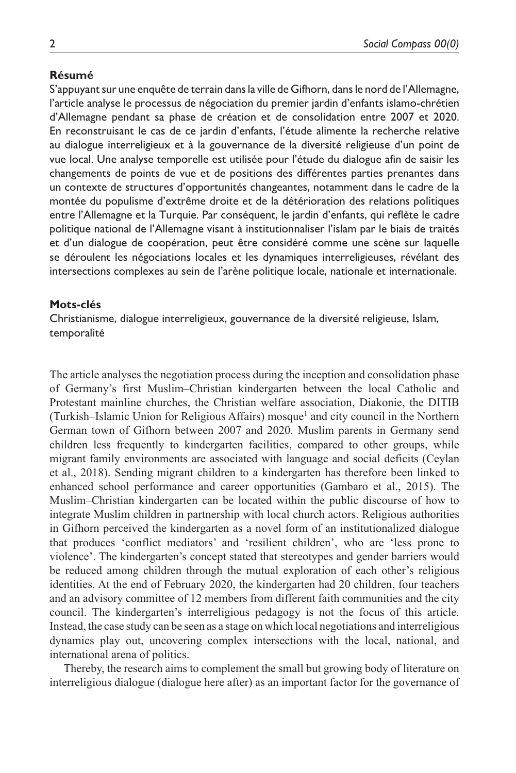#### **Résumé**

S'appuyant sur une enquête de terrain dans la ville de Gifhorn, dans le nord de l'Allemagne, l'article analyse le processus de négociation du premier jardin d'enfants islamo-chrétien d'Allemagne pendant sa phase de création et de consolidation entre 2007 et 2020. En reconstruisant le cas de ce jardin d'enfants, l'étude alimente la recherche relative au dialogue interreligieux et à la gouvernance de la diversité religieuse d'un point de vue local. Une analyse temporelle est utilisée pour l'étude du dialogue afin de saisir les changements de points de vue et de positions des différentes parties prenantes dans un contexte de structures d'opportunités changeantes, notamment dans le cadre de la montée du populisme d'extrême droite et de la détérioration des relations politiques entre l'Allemagne et la Turquie. Par conséquent, le jardin d'enfants, qui reflète le cadre politique national de l'Allemagne visant à institutionnaliser l'islam par le biais de traités et d'un dialogue de coopération, peut être considéré comme une scène sur laquelle se déroulent les négociations locales et les dynamiques interreligieuses, révélant des intersections complexes au sein de l'arène politique locale, nationale et internationale.

### **Mots-clés**

Christianisme, dialogue interreligieux, gouvernance de la diversité religieuse, Islam, temporalité

The article analyses the negotiation process during the inception and consolidation phase of Germany's first Muslim–Christian kindergarten between the local Catholic and Protestant mainline churches, the Christian welfare association, Diakonie, the DITIB (Turkish-Islamic Union for Religious Affairs) mosque<sup>1</sup> and city council in the Northern German town of Gifhorn between 2007 and 2020. Muslim parents in Germany send children less frequently to kindergarten facilities, compared to other groups, while migrant family environments are associated with language and social deficits (Ceylan et al., 2018). Sending migrant children to a kindergarten has therefore been linked to enhanced school performance and career opportunities (Gambaro et al., 2015). The Muslim–Christian kindergarten can be located within the public discourse of how to integrate Muslim children in partnership with local church actors. Religious authorities in Gifhorn perceived the kindergarten as a novel form of an institutionalized dialogue that produces 'conflict mediators' and 'resilient children', who are 'less prone to violence'. The kindergarten's concept stated that stereotypes and gender barriers would be reduced among children through the mutual exploration of each other's religious identities. At the end of February 2020, the kindergarten had 20 children, four teachers and an advisory committee of 12 members from different faith communities and the city council. The kindergarten's interreligious pedagogy is not the focus of this article. Instead, the case study can be seen as a stage on which local negotiations and interreligious dynamics play out, uncovering complex intersections with the local, national, and international arena of politics.

Thereby, the research aims to complement the small but growing body of literature on interreligious dialogue (dialogue here after) as an important factor for the governance of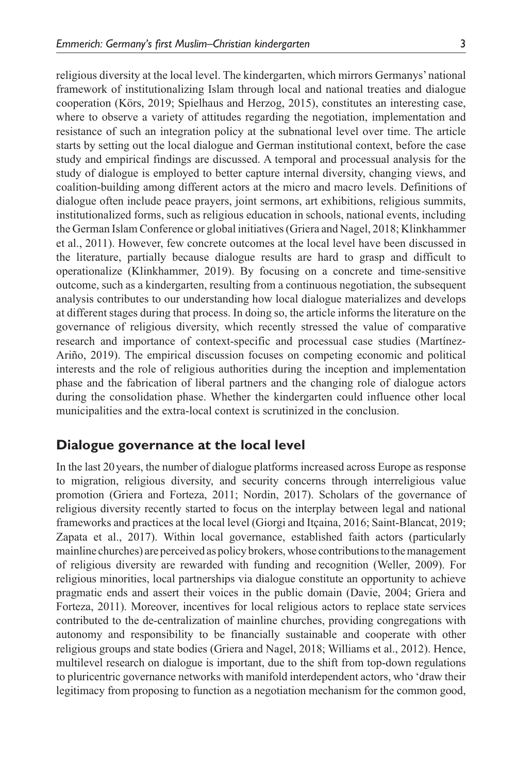religious diversity at the local level. The kindergarten, which mirrors Germanys' national framework of institutionalizing Islam through local and national treaties and dialogue cooperation (Körs, 2019; Spielhaus and Herzog, 2015), constitutes an interesting case, where to observe a variety of attitudes regarding the negotiation, implementation and resistance of such an integration policy at the subnational level over time. The article starts by setting out the local dialogue and German institutional context, before the case study and empirical findings are discussed. A temporal and processual analysis for the study of dialogue is employed to better capture internal diversity, changing views, and coalition-building among different actors at the micro and macro levels. Definitions of dialogue often include peace prayers, joint sermons, art exhibitions, religious summits, institutionalized forms, such as religious education in schools, national events, including the German Islam Conference or global initiatives (Griera and Nagel, 2018; Klinkhammer et al., 2011). However, few concrete outcomes at the local level have been discussed in the literature, partially because dialogue results are hard to grasp and difficult to operationalize (Klinkhammer, 2019). By focusing on a concrete and time-sensitive outcome, such as a kindergarten, resulting from a continuous negotiation, the subsequent analysis contributes to our understanding how local dialogue materializes and develops at different stages during that process. In doing so, the article informs the literature on the governance of religious diversity, which recently stressed the value of comparative research and importance of context-specific and processual case studies (Martínez-Ariño, 2019). The empirical discussion focuses on competing economic and political interests and the role of religious authorities during the inception and implementation phase and the fabrication of liberal partners and the changing role of dialogue actors during the consolidation phase. Whether the kindergarten could influence other local municipalities and the extra-local context is scrutinized in the conclusion.

### **Dialogue governance at the local level**

In the last 20years, the number of dialogue platforms increased across Europe as response to migration, religious diversity, and security concerns through interreligious value promotion (Griera and Forteza, 2011; Nordin, 2017). Scholars of the governance of religious diversity recently started to focus on the interplay between legal and national frameworks and practices at the local level (Giorgi and Itçaina, 2016; Saint-Blancat, 2019; Zapata et al., 2017). Within local governance, established faith actors (particularly mainline churches) are perceived as policy brokers, whose contributions to the management of religious diversity are rewarded with funding and recognition (Weller, 2009). For religious minorities, local partnerships via dialogue constitute an opportunity to achieve pragmatic ends and assert their voices in the public domain (Davie, 2004; Griera and Forteza, 2011). Moreover, incentives for local religious actors to replace state services contributed to the de-centralization of mainline churches, providing congregations with autonomy and responsibility to be financially sustainable and cooperate with other religious groups and state bodies (Griera and Nagel, 2018; Williams et al., 2012). Hence, multilevel research on dialogue is important, due to the shift from top-down regulations to pluricentric governance networks with manifold interdependent actors, who 'draw their legitimacy from proposing to function as a negotiation mechanism for the common good,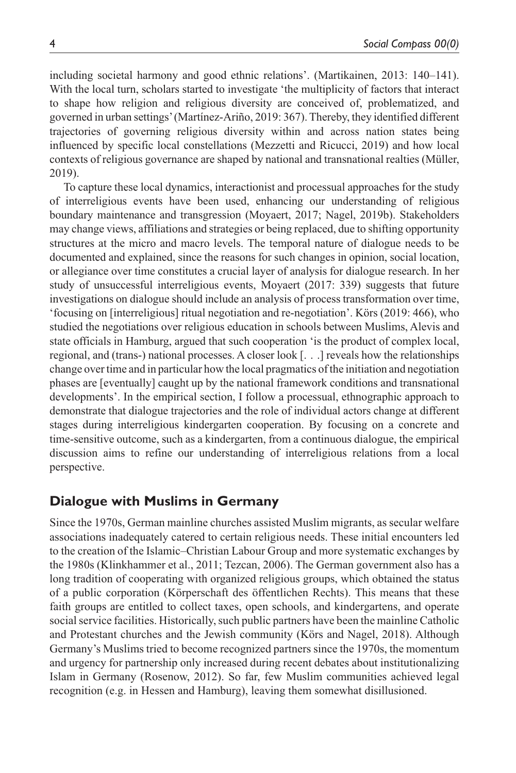including societal harmony and good ethnic relations'. (Martikainen, 2013: 140–141). With the local turn, scholars started to investigate 'the multiplicity of factors that interact to shape how religion and religious diversity are conceived of, problematized, and governed in urban settings' (Martínez-Ariño, 2019: 367). Thereby, they identified different trajectories of governing religious diversity within and across nation states being influenced by specific local constellations (Mezzetti and Ricucci, 2019) and how local contexts of religious governance are shaped by national and transnational realties (Müller, 2019).

To capture these local dynamics, interactionist and processual approaches for the study of interreligious events have been used, enhancing our understanding of religious boundary maintenance and transgression (Moyaert, 2017; Nagel, 2019b). Stakeholders may change views, affiliations and strategies or being replaced, due to shifting opportunity structures at the micro and macro levels. The temporal nature of dialogue needs to be documented and explained, since the reasons for such changes in opinion, social location, or allegiance over time constitutes a crucial layer of analysis for dialogue research. In her study of unsuccessful interreligious events, Moyaert (2017: 339) suggests that future investigations on dialogue should include an analysis of process transformation over time, 'focusing on [interreligious] ritual negotiation and re-negotiation'. Körs (2019: 466), who studied the negotiations over religious education in schools between Muslims, Alevis and state officials in Hamburg, argued that such cooperation 'is the product of complex local, regional, and (trans-) national processes. A closer look [. . .] reveals how the relationships change over time and in particular how the local pragmatics of the initiation and negotiation phases are [eventually] caught up by the national framework conditions and transnational developments'. In the empirical section, I follow a processual, ethnographic approach to demonstrate that dialogue trajectories and the role of individual actors change at different stages during interreligious kindergarten cooperation. By focusing on a concrete and time-sensitive outcome, such as a kindergarten, from a continuous dialogue, the empirical discussion aims to refine our understanding of interreligious relations from a local perspective.

### **Dialogue with Muslims in Germany**

Since the 1970s, German mainline churches assisted Muslim migrants, as secular welfare associations inadequately catered to certain religious needs. These initial encounters led to the creation of the Islamic–Christian Labour Group and more systematic exchanges by the 1980s (Klinkhammer et al., 2011; Tezcan, 2006). The German government also has a long tradition of cooperating with organized religious groups, which obtained the status of a public corporation (Körperschaft des öffentlichen Rechts). This means that these faith groups are entitled to collect taxes, open schools, and kindergartens, and operate social service facilities. Historically, such public partners have been the mainline Catholic and Protestant churches and the Jewish community (Körs and Nagel, 2018). Although Germany's Muslims tried to become recognized partners since the 1970s, the momentum and urgency for partnership only increased during recent debates about institutionalizing Islam in Germany (Rosenow, 2012). So far, few Muslim communities achieved legal recognition (e.g. in Hessen and Hamburg), leaving them somewhat disillusioned.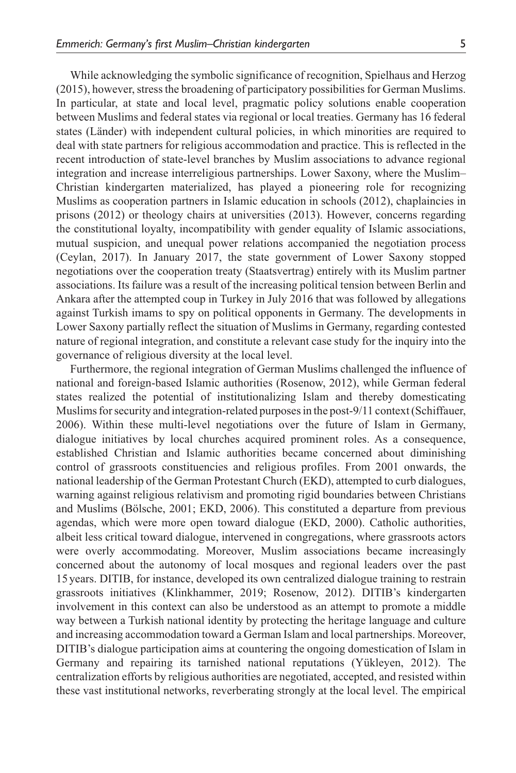While acknowledging the symbolic significance of recognition, Spielhaus and Herzog (2015), however, stress the broadening of participatory possibilities for German Muslims. In particular, at state and local level, pragmatic policy solutions enable cooperation between Muslims and federal states via regional or local treaties. Germany has 16 federal states (Länder) with independent cultural policies, in which minorities are required to deal with state partners for religious accommodation and practice. This is reflected in the recent introduction of state-level branches by Muslim associations to advance regional integration and increase interreligious partnerships. Lower Saxony, where the Muslim– Christian kindergarten materialized, has played a pioneering role for recognizing Muslims as cooperation partners in Islamic education in schools (2012), chaplaincies in prisons (2012) or theology chairs at universities (2013). However, concerns regarding the constitutional loyalty, incompatibility with gender equality of Islamic associations, mutual suspicion, and unequal power relations accompanied the negotiation process (Ceylan, 2017). In January 2017, the state government of Lower Saxony stopped negotiations over the cooperation treaty (Staatsvertrag) entirely with its Muslim partner associations. Its failure was a result of the increasing political tension between Berlin and Ankara after the attempted coup in Turkey in July 2016 that was followed by allegations against Turkish imams to spy on political opponents in Germany. The developments in Lower Saxony partially reflect the situation of Muslims in Germany, regarding contested nature of regional integration, and constitute a relevant case study for the inquiry into the governance of religious diversity at the local level.

Furthermore, the regional integration of German Muslims challenged the influence of national and foreign-based Islamic authorities (Rosenow, 2012), while German federal states realized the potential of institutionalizing Islam and thereby domesticating Muslims for security and integration-related purposes in the post-9/11 context (Schiffauer, 2006). Within these multi-level negotiations over the future of Islam in Germany, dialogue initiatives by local churches acquired prominent roles. As a consequence, established Christian and Islamic authorities became concerned about diminishing control of grassroots constituencies and religious profiles. From 2001 onwards, the national leadership of the German Protestant Church (EKD), attempted to curb dialogues, warning against religious relativism and promoting rigid boundaries between Christians and Muslims (Bölsche, 2001; EKD, 2006). This constituted a departure from previous agendas, which were more open toward dialogue (EKD, 2000). Catholic authorities, albeit less critical toward dialogue, intervened in congregations, where grassroots actors were overly accommodating. Moreover, Muslim associations became increasingly concerned about the autonomy of local mosques and regional leaders over the past 15years. DITIB, for instance, developed its own centralized dialogue training to restrain grassroots initiatives (Klinkhammer, 2019; Rosenow, 2012). DITIB's kindergarten involvement in this context can also be understood as an attempt to promote a middle way between a Turkish national identity by protecting the heritage language and culture and increasing accommodation toward a German Islam and local partnerships. Moreover, DITIB's dialogue participation aims at countering the ongoing domestication of Islam in Germany and repairing its tarnished national reputations (Yükleyen, 2012). The centralization efforts by religious authorities are negotiated, accepted, and resisted within these vast institutional networks, reverberating strongly at the local level. The empirical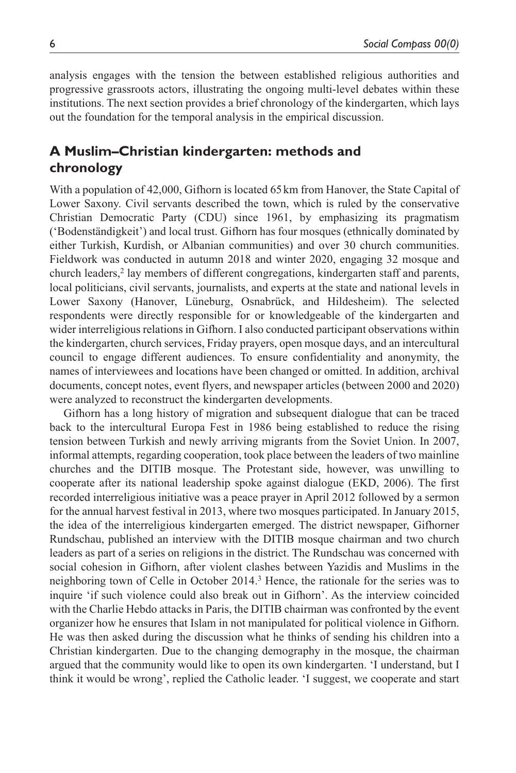analysis engages with the tension the between established religious authorities and progressive grassroots actors, illustrating the ongoing multi-level debates within these institutions. The next section provides a brief chronology of the kindergarten, which lays out the foundation for the temporal analysis in the empirical discussion.

# **A Muslim–Christian kindergarten: methods and chronology**

With a population of 42,000, Gifhorn is located 65 km from Hanover, the State Capital of Lower Saxony. Civil servants described the town, which is ruled by the conservative Christian Democratic Party (CDU) since 1961, by emphasizing its pragmatism ('Bodenständigkeit') and local trust. Gifhorn has four mosques (ethnically dominated by either Turkish, Kurdish, or Albanian communities) and over 30 church communities. Fieldwork was conducted in autumn 2018 and winter 2020, engaging 32 mosque and church leaders,<sup>2</sup> lay members of different congregations, kindergarten staff and parents, local politicians, civil servants, journalists, and experts at the state and national levels in Lower Saxony (Hanover, Lüneburg, Osnabrück, and Hildesheim). The selected respondents were directly responsible for or knowledgeable of the kindergarten and wider interreligious relations in Gifhorn. I also conducted participant observations within the kindergarten, church services, Friday prayers, open mosque days, and an intercultural council to engage different audiences. To ensure confidentiality and anonymity, the names of interviewees and locations have been changed or omitted. In addition, archival documents, concept notes, event flyers, and newspaper articles (between 2000 and 2020) were analyzed to reconstruct the kindergarten developments.

Gifhorn has a long history of migration and subsequent dialogue that can be traced back to the intercultural Europa Fest in 1986 being established to reduce the rising tension between Turkish and newly arriving migrants from the Soviet Union. In 2007, informal attempts, regarding cooperation, took place between the leaders of two mainline churches and the DITIB mosque. The Protestant side, however, was unwilling to cooperate after its national leadership spoke against dialogue (EKD, 2006). The first recorded interreligious initiative was a peace prayer in April 2012 followed by a sermon for the annual harvest festival in 2013, where two mosques participated. In January 2015, the idea of the interreligious kindergarten emerged. The district newspaper, Gifhorner Rundschau, published an interview with the DITIB mosque chairman and two church leaders as part of a series on religions in the district. The Rundschau was concerned with social cohesion in Gifhorn, after violent clashes between Yazidis and Muslims in the neighboring town of Celle in October 2014.<sup>3</sup> Hence, the rationale for the series was to inquire 'if such violence could also break out in Gifhorn'. As the interview coincided with the Charlie Hebdo attacks in Paris, the DITIB chairman was confronted by the event organizer how he ensures that Islam in not manipulated for political violence in Gifhorn. He was then asked during the discussion what he thinks of sending his children into a Christian kindergarten. Due to the changing demography in the mosque, the chairman argued that the community would like to open its own kindergarten. 'I understand, but I think it would be wrong', replied the Catholic leader. 'I suggest, we cooperate and start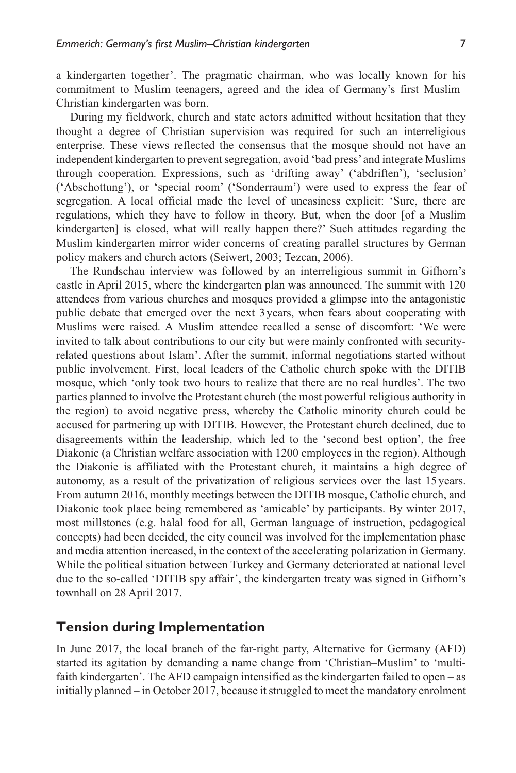a kindergarten together'. The pragmatic chairman, who was locally known for his commitment to Muslim teenagers, agreed and the idea of Germany's first Muslim– Christian kindergarten was born.

During my fieldwork, church and state actors admitted without hesitation that they thought a degree of Christian supervision was required for such an interreligious enterprise. These views reflected the consensus that the mosque should not have an independent kindergarten to prevent segregation, avoid 'bad press' and integrate Muslims through cooperation. Expressions, such as 'drifting away' ('abdriften'), 'seclusion' ('Abschottung'), or 'special room' ('Sonderraum') were used to express the fear of segregation. A local official made the level of uneasiness explicit: 'Sure, there are regulations, which they have to follow in theory. But, when the door [of a Muslim kindergarten] is closed, what will really happen there?' Such attitudes regarding the Muslim kindergarten mirror wider concerns of creating parallel structures by German policy makers and church actors (Seiwert, 2003; Tezcan, 2006).

The Rundschau interview was followed by an interreligious summit in Gifhorn's castle in April 2015, where the kindergarten plan was announced. The summit with 120 attendees from various churches and mosques provided a glimpse into the antagonistic public debate that emerged over the next 3years, when fears about cooperating with Muslims were raised. A Muslim attendee recalled a sense of discomfort: 'We were invited to talk about contributions to our city but were mainly confronted with securityrelated questions about Islam'. After the summit, informal negotiations started without public involvement. First, local leaders of the Catholic church spoke with the DITIB mosque, which 'only took two hours to realize that there are no real hurdles'. The two parties planned to involve the Protestant church (the most powerful religious authority in the region) to avoid negative press, whereby the Catholic minority church could be accused for partnering up with DITIB. However, the Protestant church declined, due to disagreements within the leadership, which led to the 'second best option', the free Diakonie (a Christian welfare association with 1200 employees in the region). Although the Diakonie is affiliated with the Protestant church, it maintains a high degree of autonomy, as a result of the privatization of religious services over the last 15 years. From autumn 2016, monthly meetings between the DITIB mosque, Catholic church, and Diakonie took place being remembered as 'amicable' by participants. By winter 2017, most millstones (e.g. halal food for all, German language of instruction, pedagogical concepts) had been decided, the city council was involved for the implementation phase and media attention increased, in the context of the accelerating polarization in Germany. While the political situation between Turkey and Germany deteriorated at national level due to the so-called 'DITIB spy affair', the kindergarten treaty was signed in Gifhorn's townhall on 28 April 2017.

# **Tension during Implementation**

In June 2017, the local branch of the far-right party, Alternative for Germany (AFD) started its agitation by demanding a name change from 'Christian–Muslim' to 'multifaith kindergarten'. The AFD campaign intensified as the kindergarten failed to open – as initially planned – in October 2017, because it struggled to meet the mandatory enrolment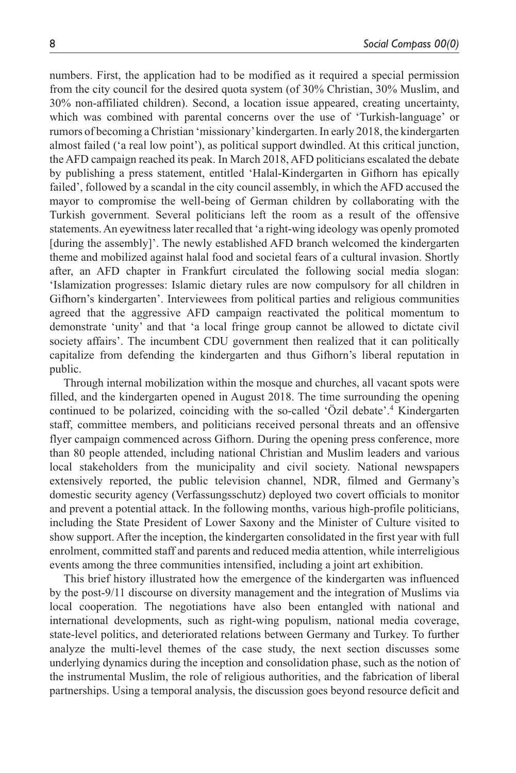numbers. First, the application had to be modified as it required a special permission from the city council for the desired quota system (of 30% Christian, 30% Muslim, and 30% non-affiliated children). Second, a location issue appeared, creating uncertainty, which was combined with parental concerns over the use of 'Turkish-language' or rumors of becoming a Christian 'missionary' kindergarten. In early 2018, the kindergarten almost failed ('a real low point'), as political support dwindled. At this critical junction, the AFD campaign reached its peak. In March 2018, AFD politicians escalated the debate by publishing a press statement, entitled 'Halal-Kindergarten in Gifhorn has epically failed', followed by a scandal in the city council assembly, in which the AFD accused the mayor to compromise the well-being of German children by collaborating with the Turkish government. Several politicians left the room as a result of the offensive statements. An eyewitness later recalled that 'a right-wing ideology was openly promoted [during the assembly]'. The newly established AFD branch welcomed the kindergarten theme and mobilized against halal food and societal fears of a cultural invasion. Shortly after, an AFD chapter in Frankfurt circulated the following social media slogan: 'Islamization progresses: Islamic dietary rules are now compulsory for all children in Gifhorn's kindergarten'. Interviewees from political parties and religious communities agreed that the aggressive AFD campaign reactivated the political momentum to demonstrate 'unity' and that 'a local fringe group cannot be allowed to dictate civil society affairs'. The incumbent CDU government then realized that it can politically capitalize from defending the kindergarten and thus Gifhorn's liberal reputation in public.

Through internal mobilization within the mosque and churches, all vacant spots were filled, and the kindergarten opened in August 2018. The time surrounding the opening continued to be polarized, coinciding with the so-called 'Özil debate'.4 Kindergarten staff, committee members, and politicians received personal threats and an offensive flyer campaign commenced across Gifhorn. During the opening press conference, more than 80 people attended, including national Christian and Muslim leaders and various local stakeholders from the municipality and civil society. National newspapers extensively reported, the public television channel, NDR, filmed and Germany's domestic security agency (Verfassungsschutz) deployed two covert officials to monitor and prevent a potential attack. In the following months, various high-profile politicians, including the State President of Lower Saxony and the Minister of Culture visited to show support. After the inception, the kindergarten consolidated in the first year with full enrolment, committed staff and parents and reduced media attention, while interreligious events among the three communities intensified, including a joint art exhibition.

This brief history illustrated how the emergence of the kindergarten was influenced by the post-9/11 discourse on diversity management and the integration of Muslims via local cooperation. The negotiations have also been entangled with national and international developments, such as right-wing populism, national media coverage, state-level politics, and deteriorated relations between Germany and Turkey. To further analyze the multi-level themes of the case study, the next section discusses some underlying dynamics during the inception and consolidation phase, such as the notion of the instrumental Muslim, the role of religious authorities, and the fabrication of liberal partnerships. Using a temporal analysis, the discussion goes beyond resource deficit and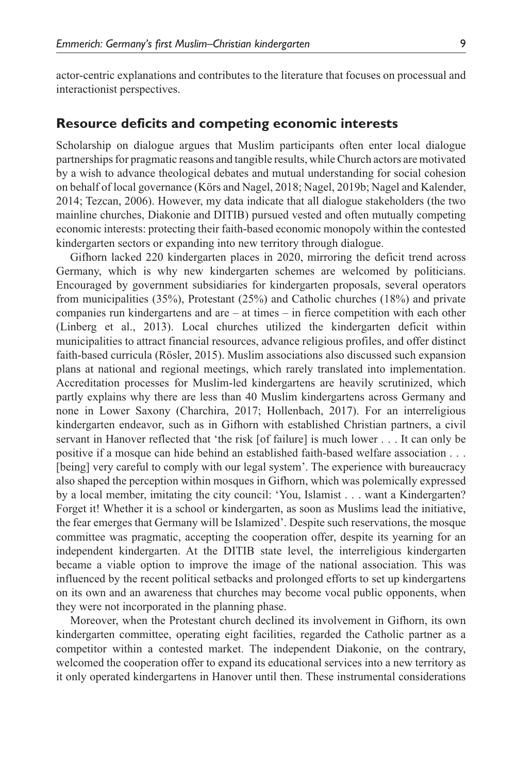actor-centric explanations and contributes to the literature that focuses on processual and interactionist perspectives.

#### **Resource deficits and competing economic interests**

Scholarship on dialogue argues that Muslim participants often enter local dialogue partnerships for pragmatic reasons and tangible results, while Church actors are motivated by a wish to advance theological debates and mutual understanding for social cohesion on behalf of local governance (Körs and Nagel, 2018; Nagel, 2019b; Nagel and Kalender, 2014; Tezcan, 2006). However, my data indicate that all dialogue stakeholders (the two mainline churches, Diakonie and DITIB) pursued vested and often mutually competing economic interests: protecting their faith-based economic monopoly within the contested kindergarten sectors or expanding into new territory through dialogue.

Gifhorn lacked 220 kindergarten places in 2020, mirroring the deficit trend across Germany, which is why new kindergarten schemes are welcomed by politicians. Encouraged by government subsidiaries for kindergarten proposals, several operators from municipalities (35%), Protestant (25%) and Catholic churches (18%) and private companies run kindergartens and are – at times – in fierce competition with each other (Linberg et al., 2013). Local churches utilized the kindergarten deficit within municipalities to attract financial resources, advance religious profiles, and offer distinct faith-based curricula (Rösler, 2015). Muslim associations also discussed such expansion plans at national and regional meetings, which rarely translated into implementation. Accreditation processes for Muslim-led kindergartens are heavily scrutinized, which partly explains why there are less than 40 Muslim kindergartens across Germany and none in Lower Saxony (Charchira, 2017; Hollenbach, 2017). For an interreligious kindergarten endeavor, such as in Gifhorn with established Christian partners, a civil servant in Hanover reflected that 'the risk [of failure] is much lower . . . It can only be positive if a mosque can hide behind an established faith-based welfare association . . . [being] very careful to comply with our legal system'. The experience with bureaucracy also shaped the perception within mosques in Gifhorn, which was polemically expressed by a local member, imitating the city council: 'You, Islamist . . . want a Kindergarten? Forget it! Whether it is a school or kindergarten, as soon as Muslims lead the initiative, the fear emerges that Germany will be Islamized'. Despite such reservations, the mosque committee was pragmatic, accepting the cooperation offer, despite its yearning for an independent kindergarten. At the DITIB state level, the interreligious kindergarten became a viable option to improve the image of the national association. This was influenced by the recent political setbacks and prolonged efforts to set up kindergartens on its own and an awareness that churches may become vocal public opponents, when they were not incorporated in the planning phase.

Moreover, when the Protestant church declined its involvement in Gifhorn, its own kindergarten committee, operating eight facilities, regarded the Catholic partner as a competitor within a contested market. The independent Diakonie, on the contrary, welcomed the cooperation offer to expand its educational services into a new territory as it only operated kindergartens in Hanover until then. These instrumental considerations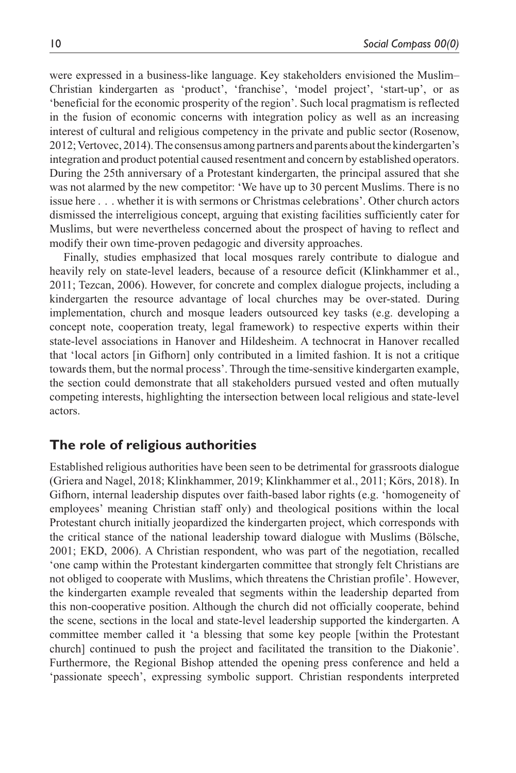were expressed in a business-like language. Key stakeholders envisioned the Muslim– Christian kindergarten as 'product', 'franchise', 'model project', 'start-up', or as 'beneficial for the economic prosperity of the region'. Such local pragmatism is reflected in the fusion of economic concerns with integration policy as well as an increasing interest of cultural and religious competency in the private and public sector (Rosenow, 2012; Vertovec, 2014). The consensus among partners and parents about the kindergarten's integration and product potential caused resentment and concern by established operators. During the 25th anniversary of a Protestant kindergarten, the principal assured that she was not alarmed by the new competitor: 'We have up to 30 percent Muslims. There is no issue here . . . whether it is with sermons or Christmas celebrations'. Other church actors dismissed the interreligious concept, arguing that existing facilities sufficiently cater for Muslims, but were nevertheless concerned about the prospect of having to reflect and modify their own time-proven pedagogic and diversity approaches.

Finally, studies emphasized that local mosques rarely contribute to dialogue and heavily rely on state-level leaders, because of a resource deficit (Klinkhammer et al., 2011; Tezcan, 2006). However, for concrete and complex dialogue projects, including a kindergarten the resource advantage of local churches may be over-stated. During implementation, church and mosque leaders outsourced key tasks (e.g. developing a concept note, cooperation treaty, legal framework) to respective experts within their state-level associations in Hanover and Hildesheim. A technocrat in Hanover recalled that 'local actors [in Gifhorn] only contributed in a limited fashion. It is not a critique towards them, but the normal process'. Through the time-sensitive kindergarten example, the section could demonstrate that all stakeholders pursued vested and often mutually competing interests, highlighting the intersection between local religious and state-level actors.

### **The role of religious authorities**

Established religious authorities have been seen to be detrimental for grassroots dialogue (Griera and Nagel, 2018; Klinkhammer, 2019; Klinkhammer et al., 2011; Körs, 2018). In Gifhorn, internal leadership disputes over faith-based labor rights (e.g. 'homogeneity of employees' meaning Christian staff only) and theological positions within the local Protestant church initially jeopardized the kindergarten project, which corresponds with the critical stance of the national leadership toward dialogue with Muslims (Bölsche, 2001; EKD, 2006). A Christian respondent, who was part of the negotiation, recalled 'one camp within the Protestant kindergarten committee that strongly felt Christians are not obliged to cooperate with Muslims, which threatens the Christian profile'. However, the kindergarten example revealed that segments within the leadership departed from this non-cooperative position. Although the church did not officially cooperate, behind the scene, sections in the local and state-level leadership supported the kindergarten. A committee member called it 'a blessing that some key people [within the Protestant church] continued to push the project and facilitated the transition to the Diakonie'. Furthermore, the Regional Bishop attended the opening press conference and held a 'passionate speech', expressing symbolic support. Christian respondents interpreted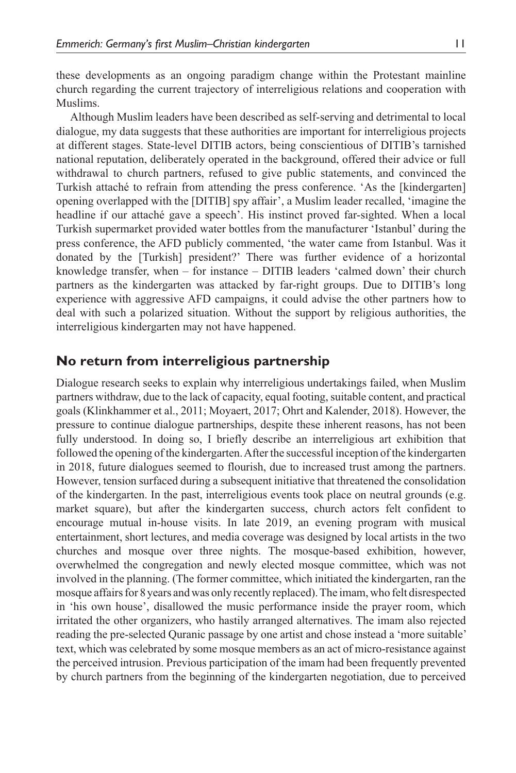these developments as an ongoing paradigm change within the Protestant mainline church regarding the current trajectory of interreligious relations and cooperation with Muslims.

Although Muslim leaders have been described as self-serving and detrimental to local dialogue, my data suggests that these authorities are important for interreligious projects at different stages. State-level DITIB actors, being conscientious of DITIB's tarnished national reputation, deliberately operated in the background, offered their advice or full withdrawal to church partners, refused to give public statements, and convinced the Turkish attaché to refrain from attending the press conference. 'As the [kindergarten] opening overlapped with the [DITIB] spy affair', a Muslim leader recalled, 'imagine the headline if our attaché gave a speech'. His instinct proved far-sighted. When a local Turkish supermarket provided water bottles from the manufacturer 'Istanbul' during the press conference, the AFD publicly commented, 'the water came from Istanbul. Was it donated by the [Turkish] president?' There was further evidence of a horizontal knowledge transfer, when – for instance – DITIB leaders 'calmed down' their church partners as the kindergarten was attacked by far-right groups. Due to DITIB's long experience with aggressive AFD campaigns, it could advise the other partners how to deal with such a polarized situation. Without the support by religious authorities, the interreligious kindergarten may not have happened.

## **No return from interreligious partnership**

Dialogue research seeks to explain why interreligious undertakings failed, when Muslim partners withdraw, due to the lack of capacity, equal footing, suitable content, and practical goals (Klinkhammer et al., 2011; Moyaert, 2017; Ohrt and Kalender, 2018). However, the pressure to continue dialogue partnerships, despite these inherent reasons, has not been fully understood. In doing so, I briefly describe an interreligious art exhibition that followed the opening of the kindergarten. After the successful inception of the kindergarten in 2018, future dialogues seemed to flourish, due to increased trust among the partners. However, tension surfaced during a subsequent initiative that threatened the consolidation of the kindergarten. In the past, interreligious events took place on neutral grounds (e.g. market square), but after the kindergarten success, church actors felt confident to encourage mutual in-house visits. In late 2019, an evening program with musical entertainment, short lectures, and media coverage was designed by local artists in the two churches and mosque over three nights. The mosque-based exhibition, however, overwhelmed the congregation and newly elected mosque committee, which was not involved in the planning. (The former committee, which initiated the kindergarten, ran the mosque affairs for 8years and was only recently replaced). The imam, who felt disrespected in 'his own house', disallowed the music performance inside the prayer room, which irritated the other organizers, who hastily arranged alternatives. The imam also rejected reading the pre-selected Quranic passage by one artist and chose instead a 'more suitable' text, which was celebrated by some mosque members as an act of micro-resistance against the perceived intrusion. Previous participation of the imam had been frequently prevented by church partners from the beginning of the kindergarten negotiation, due to perceived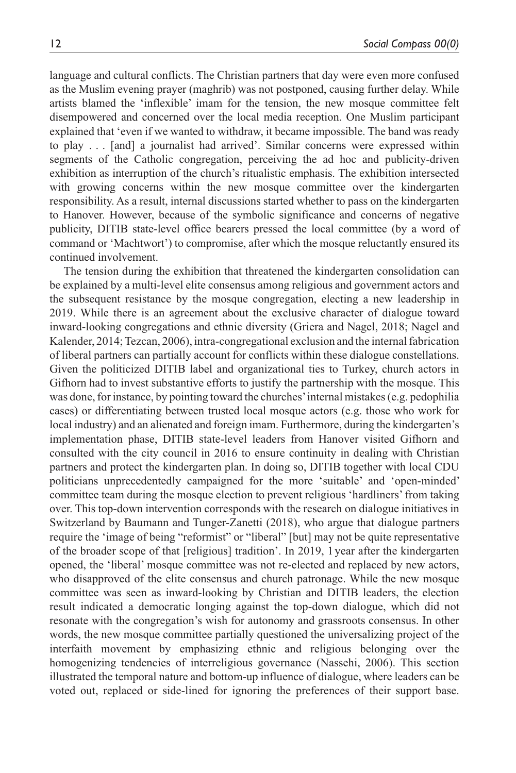language and cultural conflicts. The Christian partners that day were even more confused as the Muslim evening prayer (maghrib) was not postponed, causing further delay. While artists blamed the 'inflexible' imam for the tension, the new mosque committee felt disempowered and concerned over the local media reception. One Muslim participant explained that 'even if we wanted to withdraw, it became impossible. The band was ready to play . . . [and] a journalist had arrived'. Similar concerns were expressed within segments of the Catholic congregation, perceiving the ad hoc and publicity-driven exhibition as interruption of the church's ritualistic emphasis. The exhibition intersected with growing concerns within the new mosque committee over the kindergarten responsibility. As a result, internal discussions started whether to pass on the kindergarten to Hanover. However, because of the symbolic significance and concerns of negative publicity, DITIB state-level office bearers pressed the local committee (by a word of command or 'Machtwort') to compromise, after which the mosque reluctantly ensured its continued involvement.

The tension during the exhibition that threatened the kindergarten consolidation can be explained by a multi-level elite consensus among religious and government actors and the subsequent resistance by the mosque congregation, electing a new leadership in 2019. While there is an agreement about the exclusive character of dialogue toward inward-looking congregations and ethnic diversity (Griera and Nagel, 2018; Nagel and Kalender, 2014; Tezcan, 2006), intra-congregational exclusion and the internal fabrication of liberal partners can partially account for conflicts within these dialogue constellations. Given the politicized DITIB label and organizational ties to Turkey, church actors in Gifhorn had to invest substantive efforts to justify the partnership with the mosque. This was done, for instance, by pointing toward the churches' internal mistakes (e.g. pedophilia cases) or differentiating between trusted local mosque actors (e.g. those who work for local industry) and an alienated and foreign imam. Furthermore, during the kindergarten's implementation phase, DITIB state-level leaders from Hanover visited Gifhorn and consulted with the city council in 2016 to ensure continuity in dealing with Christian partners and protect the kindergarten plan. In doing so, DITIB together with local CDU politicians unprecedentedly campaigned for the more 'suitable' and 'open-minded' committee team during the mosque election to prevent religious 'hardliners' from taking over. This top-down intervention corresponds with the research on dialogue initiatives in Switzerland by Baumann and Tunger-Zanetti (2018), who argue that dialogue partners require the 'image of being "reformist" or "liberal" [but] may not be quite representative of the broader scope of that [religious] tradition'. In 2019, 1 year after the kindergarten opened, the 'liberal' mosque committee was not re-elected and replaced by new actors, who disapproved of the elite consensus and church patronage. While the new mosque committee was seen as inward-looking by Christian and DITIB leaders, the election result indicated a democratic longing against the top-down dialogue, which did not resonate with the congregation's wish for autonomy and grassroots consensus. In other words, the new mosque committee partially questioned the universalizing project of the interfaith movement by emphasizing ethnic and religious belonging over the homogenizing tendencies of interreligious governance (Nassehi, 2006). This section illustrated the temporal nature and bottom-up influence of dialogue, where leaders can be voted out, replaced or side-lined for ignoring the preferences of their support base.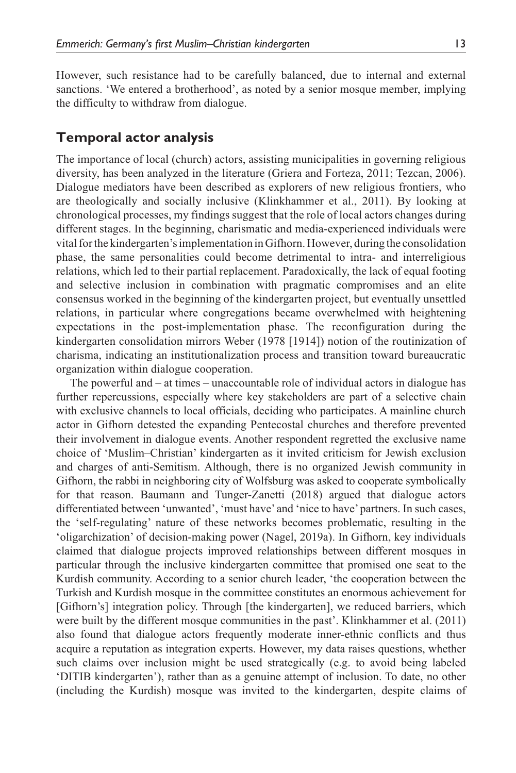However, such resistance had to be carefully balanced, due to internal and external sanctions. 'We entered a brotherhood', as noted by a senior mosque member, implying the difficulty to withdraw from dialogue.

## **Temporal actor analysis**

The importance of local (church) actors, assisting municipalities in governing religious diversity, has been analyzed in the literature (Griera and Forteza, 2011; Tezcan, 2006). Dialogue mediators have been described as explorers of new religious frontiers, who are theologically and socially inclusive (Klinkhammer et al., 2011). By looking at chronological processes, my findings suggest that the role of local actors changes during different stages. In the beginning, charismatic and media-experienced individuals were vital for the kindergarten's implementation in Gifhorn. However, during the consolidation phase, the same personalities could become detrimental to intra- and interreligious relations, which led to their partial replacement. Paradoxically, the lack of equal footing and selective inclusion in combination with pragmatic compromises and an elite consensus worked in the beginning of the kindergarten project, but eventually unsettled relations, in particular where congregations became overwhelmed with heightening expectations in the post-implementation phase. The reconfiguration during the kindergarten consolidation mirrors Weber (1978 [1914]) notion of the routinization of charisma, indicating an institutionalization process and transition toward bureaucratic organization within dialogue cooperation.

The powerful and – at times – unaccountable role of individual actors in dialogue has further repercussions, especially where key stakeholders are part of a selective chain with exclusive channels to local officials, deciding who participates. A mainline church actor in Gifhorn detested the expanding Pentecostal churches and therefore prevented their involvement in dialogue events. Another respondent regretted the exclusive name choice of 'Muslim–Christian' kindergarten as it invited criticism for Jewish exclusion and charges of anti-Semitism. Although, there is no organized Jewish community in Gifhorn, the rabbi in neighboring city of Wolfsburg was asked to cooperate symbolically for that reason. Baumann and Tunger-Zanetti (2018) argued that dialogue actors differentiated between 'unwanted', 'must have' and 'nice to have' partners. In such cases, the 'self-regulating' nature of these networks becomes problematic, resulting in the 'oligarchization' of decision-making power (Nagel, 2019a). In Gifhorn, key individuals claimed that dialogue projects improved relationships between different mosques in particular through the inclusive kindergarten committee that promised one seat to the Kurdish community. According to a senior church leader, 'the cooperation between the Turkish and Kurdish mosque in the committee constitutes an enormous achievement for [Gifhorn's] integration policy. Through [the kindergarten], we reduced barriers, which were built by the different mosque communities in the past'. Klinkhammer et al. (2011) also found that dialogue actors frequently moderate inner-ethnic conflicts and thus acquire a reputation as integration experts. However, my data raises questions, whether such claims over inclusion might be used strategically (e.g. to avoid being labeled 'DITIB kindergarten'), rather than as a genuine attempt of inclusion. To date, no other (including the Kurdish) mosque was invited to the kindergarten, despite claims of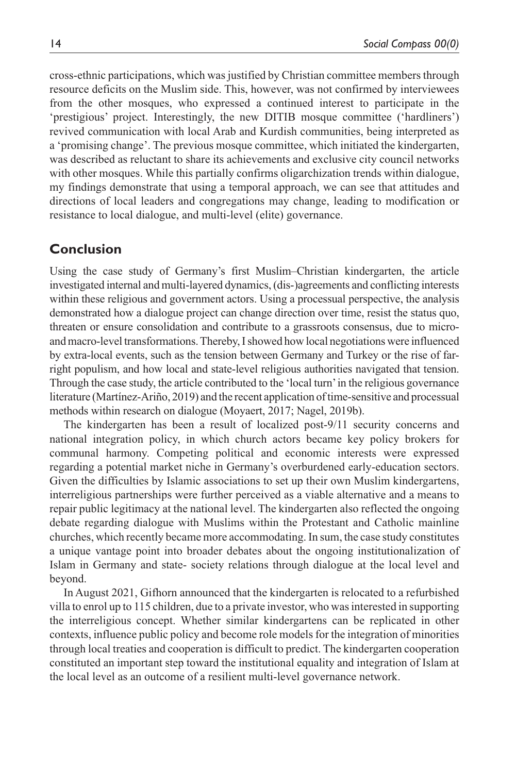cross-ethnic participations, which was justified by Christian committee members through resource deficits on the Muslim side. This, however, was not confirmed by interviewees from the other mosques, who expressed a continued interest to participate in the 'prestigious' project. Interestingly, the new DITIB mosque committee ('hardliners') revived communication with local Arab and Kurdish communities, being interpreted as a 'promising change'. The previous mosque committee, which initiated the kindergarten, was described as reluctant to share its achievements and exclusive city council networks with other mosques. While this partially confirms oligarchization trends within dialogue, my findings demonstrate that using a temporal approach, we can see that attitudes and directions of local leaders and congregations may change, leading to modification or resistance to local dialogue, and multi-level (elite) governance.

## **Conclusion**

Using the case study of Germany's first Muslim–Christian kindergarten, the article investigated internal and multi-layered dynamics, (dis-)agreements and conflicting interests within these religious and government actors. Using a processual perspective, the analysis demonstrated how a dialogue project can change direction over time, resist the status quo, threaten or ensure consolidation and contribute to a grassroots consensus, due to microand macro-level transformations. Thereby, I showed how local negotiations were influenced by extra-local events, such as the tension between Germany and Turkey or the rise of farright populism, and how local and state-level religious authorities navigated that tension. Through the case study, the article contributed to the 'local turn' in the religious governance literature (Martínez-Ariño, 2019) and the recent application of time-sensitive and processual methods within research on dialogue (Moyaert, 2017; Nagel, 2019b).

The kindergarten has been a result of localized post-9/11 security concerns and national integration policy, in which church actors became key policy brokers for communal harmony. Competing political and economic interests were expressed regarding a potential market niche in Germany's overburdened early-education sectors. Given the difficulties by Islamic associations to set up their own Muslim kindergartens, interreligious partnerships were further perceived as a viable alternative and a means to repair public legitimacy at the national level. The kindergarten also reflected the ongoing debate regarding dialogue with Muslims within the Protestant and Catholic mainline churches, which recently became more accommodating. In sum, the case study constitutes a unique vantage point into broader debates about the ongoing institutionalization of Islam in Germany and state- society relations through dialogue at the local level and beyond.

In August 2021, Gifhorn announced that the kindergarten is relocated to a refurbished villa to enrol up to 115 children, due to a private investor, who was interested in supporting the interreligious concept. Whether similar kindergartens can be replicated in other contexts, influence public policy and become role models for the integration of minorities through local treaties and cooperation is difficult to predict. The kindergarten cooperation constituted an important step toward the institutional equality and integration of Islam at the local level as an outcome of a resilient multi-level governance network.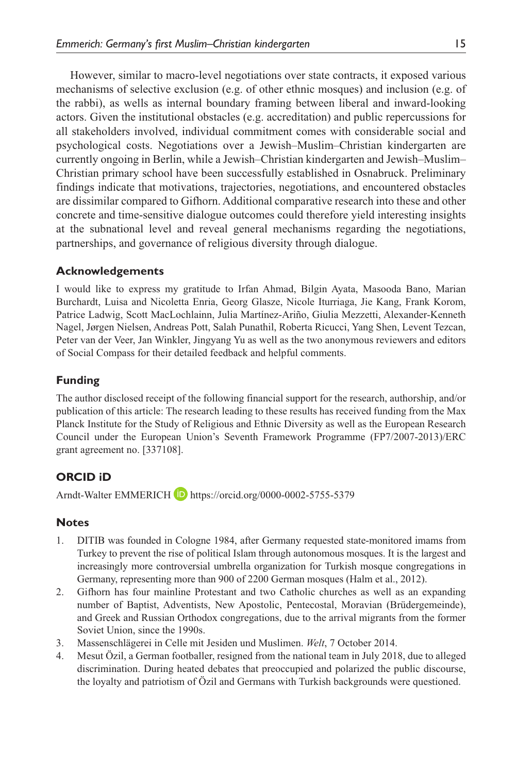However, similar to macro-level negotiations over state contracts, it exposed various mechanisms of selective exclusion (e.g. of other ethnic mosques) and inclusion (e.g. of the rabbi), as wells as internal boundary framing between liberal and inward-looking actors. Given the institutional obstacles (e.g. accreditation) and public repercussions for all stakeholders involved, individual commitment comes with considerable social and psychological costs. Negotiations over a Jewish–Muslim–Christian kindergarten are currently ongoing in Berlin, while a Jewish–Christian kindergarten and Jewish–Muslim– Christian primary school have been successfully established in Osnabruck. Preliminary findings indicate that motivations, trajectories, negotiations, and encountered obstacles are dissimilar compared to Gifhorn. Additional comparative research into these and other concrete and time-sensitive dialogue outcomes could therefore yield interesting insights at the subnational level and reveal general mechanisms regarding the negotiations, partnerships, and governance of religious diversity through dialogue.

#### **Acknowledgements**

I would like to express my gratitude to Irfan Ahmad, Bilgin Ayata, Masooda Bano, Marian Burchardt, Luisa and Nicoletta Enria, Georg Glasze, Nicole Iturriaga, Jie Kang, Frank Korom, Patrice Ladwig, Scott MacLochlainn, Julia Martínez-Ariño, Giulia Mezzetti, Alexander-Kenneth Nagel, Jørgen Nielsen, Andreas Pott, Salah Punathil, Roberta Ricucci, Yang Shen, Levent Tezcan, Peter van der Veer, Jan Winkler, Jingyang Yu as well as the two anonymous reviewers and editors of Social Compass for their detailed feedback and helpful comments.

### **Funding**

The author disclosed receipt of the following financial support for the research, authorship, and/or publication of this article: The research leading to these results has received funding from the Max Planck Institute for the Study of Religious and Ethnic Diversity as well as the European Research Council under the European Union's Seventh Framework Programme (FP7/2007-2013)/ERC grant agreement no. [337108].

### **ORCID iD**

Arndt-Walter EMMERICH D<https://orcid.org/0000-0002-5755-5379>

### **Notes**

- 1. DITIB was founded in Cologne 1984, after Germany requested state-monitored imams from Turkey to prevent the rise of political Islam through autonomous mosques. It is the largest and increasingly more controversial umbrella organization for Turkish mosque congregations in Germany, representing more than 900 of 2200 German mosques (Halm et al., 2012).
- 2. Gifhorn has four mainline Protestant and two Catholic churches as well as an expanding number of Baptist, Adventists, New Apostolic, Pentecostal, Moravian (Brüdergemeinde), and Greek and Russian Orthodox congregations, due to the arrival migrants from the former Soviet Union, since the 1990s.
- 3. Massenschlägerei in Celle mit Jesiden und Muslimen. *Welt*, 7 October 2014.
- 4. Mesut Özil, a German footballer, resigned from the national team in July 2018, due to alleged discrimination. During heated debates that preoccupied and polarized the public discourse, the loyalty and patriotism of Özil and Germans with Turkish backgrounds were questioned.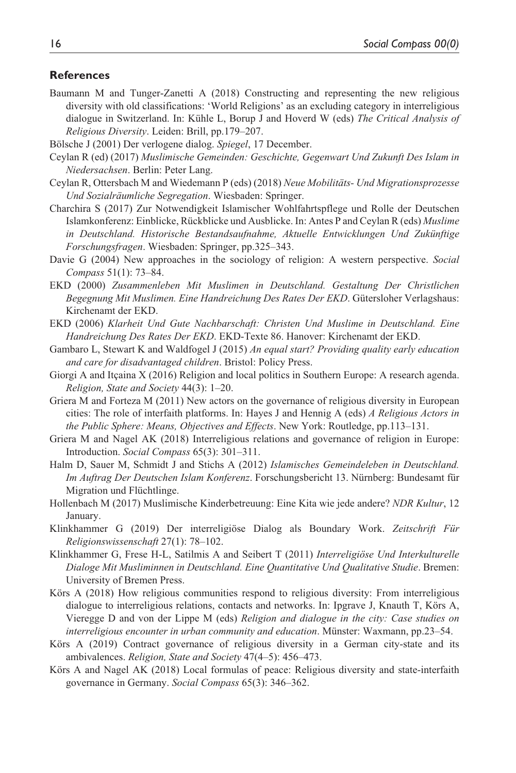#### **References**

- Baumann M and Tunger-Zanetti A (2018) Constructing and representing the new religious diversity with old classifications: 'World Religions' as an excluding category in interreligious dialogue in Switzerland. In: Kühle L, Borup J and Hoverd W (eds) *The Critical Analysis of Religious Diversity*. Leiden: Brill, pp.179–207.
- Bölsche J (2001) Der verlogene dialog. *Spiegel*, 17 December.
- Ceylan R (ed) (2017) *Muslimische Gemeinden: Geschichte, Gegenwart Und Zukunft Des Islam in Niedersachsen*. Berlin: Peter Lang.
- Ceylan R, Ottersbach M and Wiedemann P (eds) (2018) *Neue Mobilitäts- Und Migrationsprozesse Und Sozialräumliche Segregation*. Wiesbaden: Springer.
- Charchira S (2017) Zur Notwendigkeit Islamischer Wohlfahrtspflege und Rolle der Deutschen Islamkonferenz: Einblicke, Rückblicke und Ausblicke. In: Antes P and Ceylan R (eds) *Muslime in Deutschland. Historische Bestandsaufnahme, Aktuelle Entwicklungen Und Zukünftige Forschungsfragen*. Wiesbaden: Springer, pp.325–343.
- Davie G (2004) New approaches in the sociology of religion: A western perspective. *Social Compass* 51(1): 73–84.
- EKD (2000) *Zusammenleben Mit Muslimen in Deutschland. Gestaltung Der Christlichen Begegnung Mit Muslimen. Eine Handreichung Des Rates Der EKD*. Gütersloher Verlagshaus: Kirchenamt der EKD.
- EKD (2006) *Klarheit Und Gute Nachbarschaft: Christen Und Muslime in Deutschland. Eine Handreichung Des Rates Der EKD*. EKD-Texte 86. Hanover: Kirchenamt der EKD.
- Gambaro L, Stewart K and Waldfogel J (2015) *An equal start? Providing quality early education and care for disadvantaged children*. Bristol: Policy Press.
- Giorgi A and Itçaina X (2016) Religion and local politics in Southern Europe: A research agenda. *Religion, State and Society* 44(3): 1–20.
- Griera M and Forteza M (2011) New actors on the governance of religious diversity in European cities: The role of interfaith platforms. In: Hayes J and Hennig A (eds) *A Religious Actors in the Public Sphere: Means, Objectives and Effects*. New York: Routledge, pp.113–131.
- Griera M and Nagel AK (2018) Interreligious relations and governance of religion in Europe: Introduction. *Social Compass* 65(3): 301–311.
- Halm D, Sauer M, Schmidt J and Stichs A (2012) *Islamisches Gemeindeleben in Deutschland. Im Auftrag Der Deutschen Islam Konferenz*. Forschungsbericht 13. Nürnberg: Bundesamt für Migration und Flüchtlinge.
- Hollenbach M (2017) Muslimische Kinderbetreuung: Eine Kita wie jede andere? *NDR Kultur*, 12 January.
- Klinkhammer G (2019) Der interreligiöse Dialog als Boundary Work. *Zeitschrift Für Religionswissenschaft* 27(1): 78–102.
- Klinkhammer G, Frese H-L, Satilmis A and Seibert T (2011) *Interreligiöse Und Interkulturelle Dialoge Mit Musliminnen in Deutschland. Eine Quantitative Und Qualitative Studie*. Bremen: University of Bremen Press.
- Körs A (2018) How religious communities respond to religious diversity: From interreligious dialogue to interreligious relations, contacts and networks. In: Ipgrave J, Knauth T, Körs A, Vieregge D and von der Lippe M (eds) *Religion and dialogue in the city: Case studies on interreligious encounter in urban community and education*. Münster: Waxmann, pp.23–54.
- Körs A (2019) Contract governance of religious diversity in a German city-state and its ambivalences. *Religion, State and Society* 47(4–5): 456–473.
- Körs A and Nagel AK (2018) Local formulas of peace: Religious diversity and state-interfaith governance in Germany. *Social Compass* 65(3): 346–362.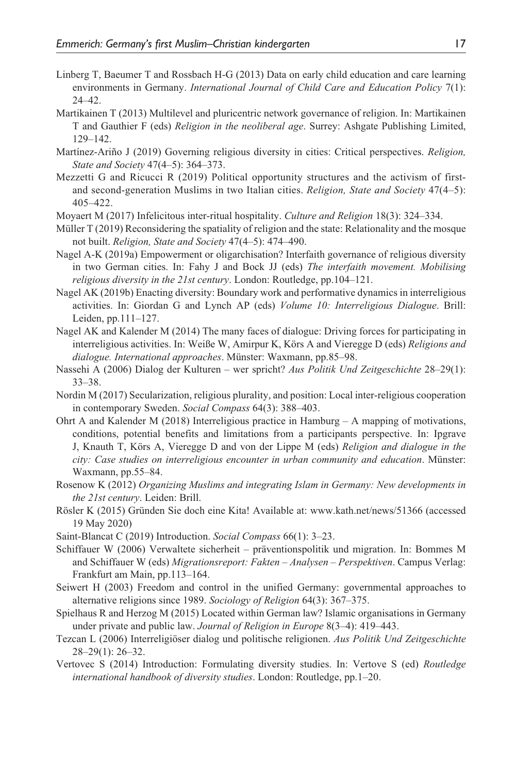- Linberg T, Baeumer T and Rossbach H-G (2013) Data on early child education and care learning environments in Germany. *International Journal of Child Care and Education Policy* 7(1): 24–42.
- Martikainen T (2013) Multilevel and pluricentric network governance of religion. In: Martikainen T and Gauthier F (eds) *Religion in the neoliberal age*. Surrey: Ashgate Publishing Limited, 129–142.
- Martínez-Ariño J (2019) Governing religious diversity in cities: Critical perspectives. *Religion, State and Society* 47(4–5): 364–373.
- Mezzetti G and Ricucci R (2019) Political opportunity structures and the activism of firstand second-generation Muslims in two Italian cities. *Religion, State and Society* 47(4–5): 405–422.
- Moyaert M (2017) Infelicitous inter-ritual hospitality. *Culture and Religion* 18(3): 324–334.
- Müller T (2019) Reconsidering the spatiality of religion and the state: Relationality and the mosque not built. *Religion, State and Society* 47(4–5): 474–490.
- Nagel A-K (2019a) Empowerment or oligarchisation? Interfaith governance of religious diversity in two German cities. In: Fahy J and Bock JJ (eds) *The interfaith movement. Mobilising religious diversity in the 21st century*. London: Routledge, pp.104–121.
- Nagel AK (2019b) Enacting diversity: Boundary work and performative dynamics in interreligious activities. In: Giordan G and Lynch AP (eds) *Volume 10: Interreligious Dialogue*. Brill: Leiden, pp.111–127.
- Nagel AK and Kalender M (2014) The many faces of dialogue: Driving forces for participating in interreligious activities. In: Weiße W, Amirpur K, Körs A and Vieregge D (eds) *Religions and dialogue. International approaches*. Münster: Waxmann, pp.85–98.
- Nassehi A (2006) Dialog der Kulturen wer spricht? *Aus Politik Und Zeitgeschichte* 28–29(1): 33–38.
- Nordin M (2017) Secularization, religious plurality, and position: Local inter-religious cooperation in contemporary Sweden. *Social Compass* 64(3): 388–403.
- Ohrt A and Kalender M (2018) Interreligious practice in Hamburg A mapping of motivations, conditions, potential benefits and limitations from a participants perspective. In: Ipgrave J, Knauth T, Körs A, Vieregge D and von der Lippe M (eds) *Religion and dialogue in the city: Case studies on interreligious encounter in urban community and education*. Münster: Waxmann, pp.55–84.
- Rosenow K (2012) *Organizing Muslims and integrating Islam in Germany: New developments in the 21st century*. Leiden: Brill.
- Rösler K (2015) Gründen Sie doch eine Kita! Available at: <www.kath.net/news/51366>(accessed 19 May 2020)
- Saint-Blancat C (2019) Introduction. *Social Compass* 66(1): 3–23.
- Schiffauer W (2006) Verwaltete sicherheit präventionspolitik und migration. In: Bommes M and Schiffauer W (eds) *Migrationsreport: Fakten – Analysen – Perspektiven*. Campus Verlag: Frankfurt am Main, pp.113–164.
- Seiwert H (2003) Freedom and control in the unified Germany: governmental approaches to alternative religions since 1989. *Sociology of Religion* 64(3): 367–375.
- Spielhaus R and Herzog M (2015) Located within German law? Islamic organisations in Germany under private and public law. *Journal of Religion in Europe* 8(3–4): 419–443.
- Tezcan L (2006) Interreligiöser dialog und politische religionen. *Aus Politik Und Zeitgeschichte* 28–29(1): 26–32.
- Vertovec S (2014) Introduction: Formulating diversity studies. In: Vertove S (ed) *Routledge international handbook of diversity studies*. London: Routledge, pp.1–20.